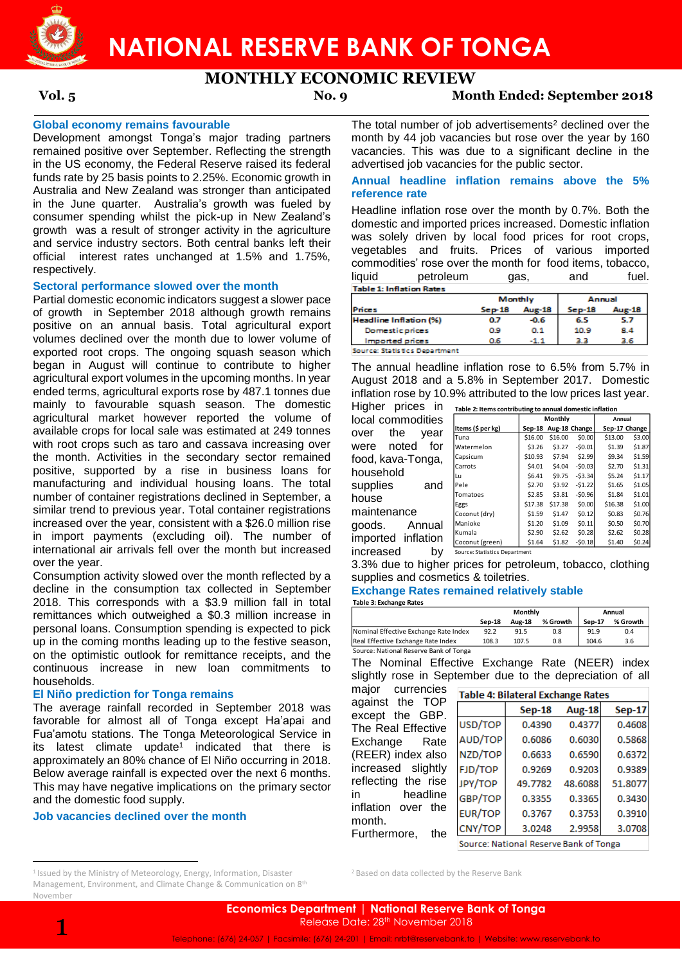

## **NATIONAL RESERVE BANK OF TONGA**

### **MONTHLY ECONOMIC REVIEW**

**Vol. 5 No. 9 Month Ended: September 2018**

#### **Global economy remains favourable**

Development amongst Tonga's major trading partners remained positive over September. Reflecting the strength in the US economy, the Federal Reserve raised its federal funds rate by 25 basis points to 2.25%. Economic growth in Australia and New Zealand was stronger than anticipated in the June quarter. Australia's growth was fueled by consumer spending whilst the pick-up in New Zealand's growth was a result of stronger activity in the agriculture and service industry sectors. Both central banks left their official interest rates unchanged at 1.5% and 1.75%, respectively.

#### **Sectoral performance slowed over the month**

Partial domestic economic indicators suggest a slower pace of growth in September 2018 although growth remains positive on an annual basis. Total agricultural export volumes declined over the month due to lower volume of exported root crops. The ongoing squash season which began in August will continue to contribute to higher agricultural export volumes in the upcoming months. In year ended terms, agricultural exports rose by 487.1 tonnes due mainly to favourable squash season. The domestic agricultural market however reported the volume of available crops for local sale was estimated at 249 tonnes with root crops such as taro and cassava increasing over the month. Activities in the secondary sector remained positive, supported by a rise in business loans for manufacturing and individual housing loans. The total number of container registrations declined in September, a similar trend to previous year. Total container registrations increased over the year, consistent with a \$26.0 million rise in import payments (excluding oil). The number of international air arrivals fell over the month but increased over the year.

Consumption activity slowed over the month reflected by a decline in the consumption tax collected in September 2018. This corresponds with a \$3.9 million fall in total remittances which outweighed a \$0.3 million increase in personal loans. Consumption spending is expected to pick up in the coming months leading up to the festive season, on the optimistic outlook for remittance receipts, and the continuous increase in new loan commitments to households.

#### **El Niño prediction for Tonga remains**

The average rainfall recorded in September 2018 was favorable for almost all of Tonga except Ha'apai and Fua'amotu stations. The Tonga Meteorological Service in its latest climate update<sup>1</sup> indicated that there is approximately an 80% chance of El Niño occurring in 2018. Below average rainfall is expected over the next 6 months. This may have negative implications on the primary sector and the domestic food supply.

#### **Job vacancies declined over the month**

1

 $\overline{a}$ 

<sup>1</sup> Issued by the Ministry of Meteorology, Energy, Information, Disaster Management, Environment, and Climate Change & Communication on 8<sup>th</sup> November

The total number of job advertisements<sup>2</sup> declined over the month by 44 job vacancies but rose over the year by 160 vacancies. This was due to a significant decline in the advertised job vacancies for the public sector.

#### **Annual headline inflation remains above the 5% reference rate**

Headline inflation rose over the month by 0.7%. Both the domestic and imported prices increased. Domestic inflation was solely driven by local food prices for root crops, vegetables and fruits. Prices of various imported commodities' rose over the month for food items, tobacco, liquid petroleum gas, and fuel. **Table 1: Inflation Rates** 

|                               |          | Monthly | Annual   |        |  |
|-------------------------------|----------|---------|----------|--------|--|
| <b>Prices</b>                 | $Sep-18$ | Aug-18  | $Sep-18$ | Aug-18 |  |
| <b>Headline Inflation (%)</b> | 0.7      | -0.6    | 6.5      |        |  |
| Domestic prices               | o.9      | 0.1     | 10.9     | 8.4    |  |
| Imported prices               | 06       | $-1.7$  |          |        |  |

**Source: Statistics Department** 

The annual headline inflation rose to 6.5% from 5.7% in August 2018 and a 5.8% in September 2017. Domestic inflation rose by 10.9% attributed to the low prices last year.

Higher prices in local commodities over the year were noted for food, kava-Tonga, household supplies and house maintenance goods. Annual imported inflation increased

| Table 2: Items contributing to annual domestic inflation |         |         |                      |         |               |  |  |  |  |
|----------------------------------------------------------|---------|---------|----------------------|---------|---------------|--|--|--|--|
|                                                          |         | Monthly | Annual               |         |               |  |  |  |  |
| Items (\$ per kg)                                        |         |         | Sep-18 Aug-18 Change |         | Sep-17 Change |  |  |  |  |
| Tuna                                                     | \$16.00 | \$16.00 | \$0.00               | \$13.00 | \$3.00        |  |  |  |  |
| Watermelon                                               | \$3.26  | \$3.27  | $-50.01$             | \$1.39  | \$1.87        |  |  |  |  |
| Capsicum                                                 | \$10.93 | \$7.94  | \$2.99               | \$9.34  | 51.59         |  |  |  |  |
|                                                          |         |         |                      |         |               |  |  |  |  |

| Watermelon      | \$3.26  | \$3.27  | $-50.01$ | \$1.39  | \$1.87 |
|-----------------|---------|---------|----------|---------|--------|
| Capsicum        | \$10.93 | \$7.94  | \$2.99   | \$9.34  | \$1.59 |
| Carrots         | \$4.01  | \$4.04  | $-50.03$ | \$2.70  | \$1.31 |
| Lu              | \$6.41  | \$9.75  | $-53.34$ | \$5.24  | 51.17  |
| Pele            | \$2.70  | \$3.92  | $-51.22$ | \$1.65  | \$1.05 |
| Tomatoes        | \$2.85  | \$3.81  | $-50.96$ | \$1.84  | \$1.01 |
| Eggs            | \$17.38 | \$17.38 | \$0.00   | \$16.38 | \$1.00 |
| Coconut (dry)   | \$1.59  | \$1.47  | \$0.12   | \$0.83  | \$0.76 |
| Manioke         | \$1.20  | \$1.09  | \$0.11   | \$0.50  | \$0.70 |
| Kumala          | \$2.90  | \$2.62  | \$0.28   | \$2.62  | \$0.28 |
| Coconut (green) | \$1.64  | \$1.82  | $-50.18$ | \$1.40  | \$0.24 |

**by** Source: Statistics Department

3.3% due to higher prices for petroleum, tobacco, clothing supplies and cosmetics & toiletries.

#### **Exchange Rates remained relatively stable Table 3: Exchange Rates**

|                                        |        | Monthly       | Annual   |        |          |
|----------------------------------------|--------|---------------|----------|--------|----------|
|                                        | Sep-18 | <b>Aug-18</b> | % Growth | Sep-17 | % Growth |
| Nominal Effective Exchange Rate Index  | 92.2   | 91.5          | 0.8      | 91.9   | 0.4      |
| Real Effective Exchange Rate Index     | 108.3  | 107.5         | 0.8      | 104.6  | 3.6      |
| Source: National Reserve Bank of Tonga |        |               |          |        |          |

The Nominal Effective Exchange Rate (NEER) index slightly rose in September due to the depreciation of all

**EUR/TOP** 

CNY/TOP

major currencies against the TOP except the GBP. The Real Effective Exchange Rate (REER) index also increased slightly reflecting the rise in headline inflation over the month. Furthermore, the

<sup>2</sup> Based on data collected by the Reserve Bank

| <b>Table 4: Bilateral Exchange Rates</b> |               |         |               |  |  |  |  |  |
|------------------------------------------|---------------|---------|---------------|--|--|--|--|--|
|                                          | <b>Sep-18</b> | Aug-18  | <b>Sep-17</b> |  |  |  |  |  |
| <b>JSD/TOP</b>                           | 0.4390        | 0.4377  | 0.4608        |  |  |  |  |  |
| <b>AUD/TOP</b>                           | 0.6086        | 0.6030  | 0.5868        |  |  |  |  |  |
| NZD/TOP                                  | 0.6633        | 0.6590  | 0.6372        |  |  |  |  |  |
| FJD/TOP                                  | 0.9269        | 0.9203  | 0.9389        |  |  |  |  |  |
| <b>PY/TOP</b>                            | 49.7782       | 48.6088 | 51.8077       |  |  |  |  |  |
| GBP/TOP                                  | 0.3355        | 0.3365  | 0.3430        |  |  |  |  |  |

0.3753

2.9958

0.3910

3.0708

3.0248 Source: National Reserve Bank of Tonga

0.3767

**Economics Department** | **National Reserve Bank of Tonga** Release Date: 28<sup>th</sup> November 2018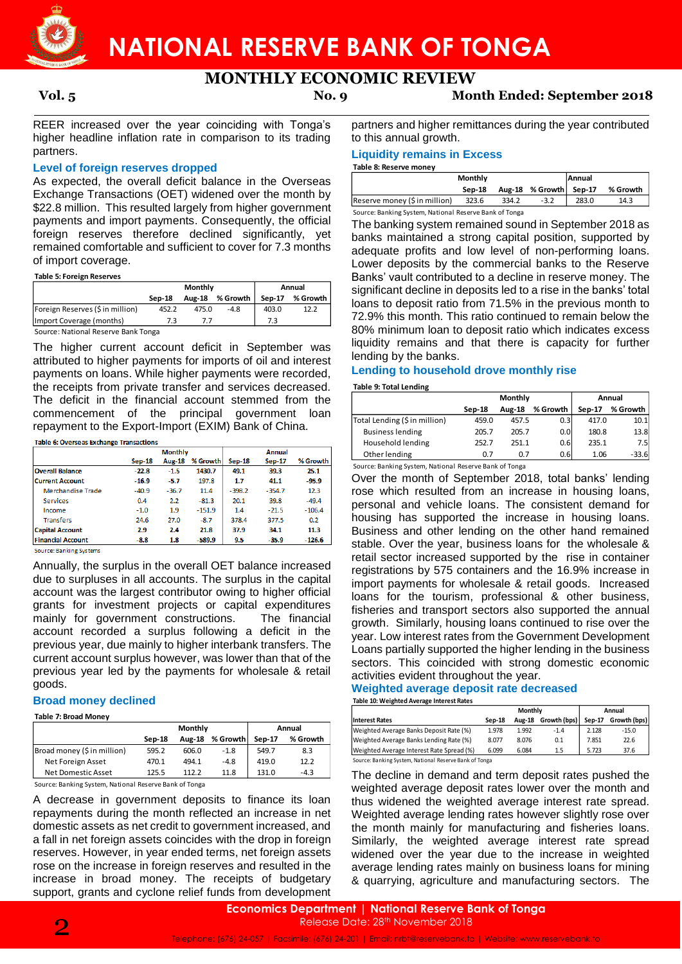

## **NATIONAL RESERVE BANK OF TONGA**

### **MONTHLY ECONOMIC REVIEW**

**Vol. 5 No. 9 Month Ended: September 2018**

REER increased over the year coinciding with Tonga's higher headline inflation rate in comparison to its trading partners.

#### **Level of foreign reserves dropped**

As expected, the overall deficit balance in the Overseas Exchange Transactions (OET) widened over the month by \$22.8 million. This resulted largely from higher government payments and import payments. Consequently, the official foreign reserves therefore declined significantly, yet remained comfortable and sufficient to cover for 7.3 months of import coverage.

#### **Table 5: Foreign Reserves**

|                                  | <b>Monthly</b> |               |          | Annual   |          |
|----------------------------------|----------------|---------------|----------|----------|----------|
|                                  | Sep-18         | <b>Aug-18</b> | % Growth | $Sen-17$ | % Growth |
| Foreign Reserves (\$ in million) | 452.2          | 475.0         | $-4.8$   | 403.0    | 12.2     |
| Import Coverage (months)         |                | 7.7           |          | 7.3      |          |

Source: National Reserve Bank Tonga

The higher current account deficit in September was attributed to higher payments for imports of oil and interest payments on loans. While higher payments were recorded, the receipts from private transfer and services decreased. The deficit in the financial account stemmed from the commencement of the principal government loan repayment to the Export-Import (EXIM) Bank of China.

#### Table 6: Overseas Exchange Transactions

|                          |          | <b>Monthly</b> |          |          | Annual   |          |  |  |
|--------------------------|----------|----------------|----------|----------|----------|----------|--|--|
|                          | $Sep-18$ | <b>Aug-18</b>  | % Growth | $Sep-18$ | $Sep-17$ | % Growth |  |  |
| <b>Overall Balance</b>   | $-22.8$  | $-1.5$         | 1430.7   | 49.1     | 39.3     | 25.1     |  |  |
| <b>Current Account</b>   | $-16.9$  | $-5.7$         | 197.8    | 1.7      | 41.1     | $-95.9$  |  |  |
| Merchandise Trade        | $-40.9$  | $-36.7$        | 11.4     | $-398.2$ | $-354.7$ | 12.3     |  |  |
| <b>Services</b>          | 0.4      | 2.2            | $-81.3$  | 20.1     | 39.8     | $-49.4$  |  |  |
| Income                   | $-1.0$   | 1.9            | $-151.9$ | 1.4      | $-21.5$  | $-106.4$ |  |  |
| <b>Transfers</b>         | 24.6     | 27.0           | $-8.7$   | 378.4    | 377.5    | 0.2      |  |  |
| <b>Capital Account</b>   | 2.9      | 2.4            | 21.8     | 37.9     | 34.1     | 11.3     |  |  |
| <b>Financial Account</b> | $-8.8$   | 1.8            | $-589.9$ | 9.5      | $-35.9$  | $-126.6$ |  |  |

Source: Banking Systems

Annually, the surplus in the overall OET balance increased due to surpluses in all accounts. The surplus in the capital account was the largest contributor owing to higher official grants for investment projects or capital expenditures mainly for government constructions. The financial mainly for government constructions. account recorded a surplus following a deficit in the previous year, due mainly to higher interbank transfers. The current account surplus however, was lower than that of the previous year led by the payments for wholesale & retail goods.

#### **Broad money declined**

**Table 7: Broad Money**

|                             |        | Monthly       | Annual   |        |          |
|-----------------------------|--------|---------------|----------|--------|----------|
|                             | Sep-18 | <b>Aug-18</b> | % Growth | Sep-17 | % Growth |
| Broad money (\$ in million) | 595.2  | 606.0         | $-1.8$   | 549.7  | 8.3      |
| Net Foreign Asset           | 470.1  | 494.1         | $-4.8$   | 419.0  | 12.2     |
| Net Domestic Asset          | 125.5  | 112.2         | 11.8     | 131.0  | $-4.3$   |

Source: Banking System, National Reserve Bank of Tonga

A decrease in government deposits to finance its loan repayments during the month reflected an increase in net domestic assets as net credit to government increased, and a fall in net foreign assets coincides with the drop in foreign reserves. However, in year ended terms, net foreign assets rose on the increase in foreign reserves and resulted in the increase in broad money. The receipts of budgetary support, grants and cyclone relief funds from development partners and higher remittances during the year contributed to this annual growth.

#### **Liquidity remains in Excess**

#### **Table 8: Reserve money**

|                                                           | <b>Monthly</b> |  | <b>Annual</b>          |  |          |  |  |  |
|-----------------------------------------------------------|----------------|--|------------------------|--|----------|--|--|--|
|                                                           | Sep-18         |  | Aug-18 % Growth Sep-17 |  | % Growth |  |  |  |
| Reserve money (\$ in million)<br>323.6<br>334.2<br>$-3.2$ |                |  |                        |  | 14.3     |  |  |  |
| Source: Banking System, National Reserve Bank of Tonga    |                |  |                        |  |          |  |  |  |

The banking system remained sound in September 2018 as banks maintained a strong capital position, supported by adequate profits and low level of non-performing loans. Lower deposits by the commercial banks to the Reserve Banks' vault contributed to a decline in reserve money. The significant decline in deposits led to a rise in the banks' total loans to deposit ratio from 71.5% in the previous month to 72.9% this month. This ratio continued to remain below the 80% minimum loan to deposit ratio which indicates excess liquidity remains and that there is capacity for further lending by the banks.

#### **Lending to household drove monthly rise**

#### **Table 9: Total Lending**

|                               |        | Monthly       | Annual           |        |          |
|-------------------------------|--------|---------------|------------------|--------|----------|
|                               | Sep-18 | <b>Aug-18</b> | % Growth         | Sep-17 | % Growth |
| Total Lending (\$ in million) | 459.0  | 457.5         | 0.31             | 417.0  | 10.1     |
| <b>Business lending</b>       | 205.7  | 205.7         | 0.0 <sub>l</sub> | 180.8  | 13.8     |
| Household lending             | 252.7  | 251.1         | 0.6              | 235.1  | 7.5      |
| Other lending                 | 0.7    | 0.7           | 0.6              | 1.06   | $-33.6$  |

Source: Banking System, National Reserve Bank of Tonga

Over the month of September 2018, total banks' lending rose which resulted from an increase in housing loans, personal and vehicle loans. The consistent demand for housing has supported the increase in housing loans. Business and other lending on the other hand remained stable. Over the year, business loans for the wholesale & retail sector increased supported by the rise in container registrations by 575 containers and the 16.9% increase in import payments for wholesale & retail goods. Increased loans for the tourism, professional & other business, fisheries and transport sectors also supported the annual growth. Similarly, housing loans continued to rise over the year. Low interest rates from the Government Development Loans partially supported the higher lending in the business sectors. This coincided with strong domestic economic activities evident throughout the year.

#### **Weighted average deposit rate decreased Table 10: Weighted Average Interest Rates**

|                                                        | Monthly |               |              | Annual |              |  |
|--------------------------------------------------------|---------|---------------|--------------|--------|--------------|--|
| <b>Interest Rates</b>                                  | Sep-18  | <b>Aug-18</b> | Growth (bps) | Sep-17 | Growth (bps) |  |
| Weighted Average Banks Deposit Rate (%)                | 1.978   | 1.992         | $-1.4$       | 2.128  | $-15.0$      |  |
| Weighted Average Banks Lending Rate (%)                | 8.077   | 8.076         | 0.1          | 7.851  | 22.6         |  |
| Weighted Average Interest Rate Spread (%)              | 6.099   | 6.084         | 1.5          | 5.723  | 37.6         |  |
| Source: Banking System, National Reserve Bank of Tonga |         |               |              |        |              |  |

The decline in demand and term deposit rates pushed the weighted average deposit rates lower over the month and thus widened the weighted average interest rate spread. Weighted average lending rates however slightly rose over the month mainly for manufacturing and fisheries loans. Similarly, the weighted average interest rate spread widened over the year due to the increase in weighted average lending rates mainly on business loans for mining & quarrying, agriculture and manufacturing sectors. The

**Economics Department** | **National Reserve Bank of Tonga** Release Date: 28<sup>th</sup> November 2018